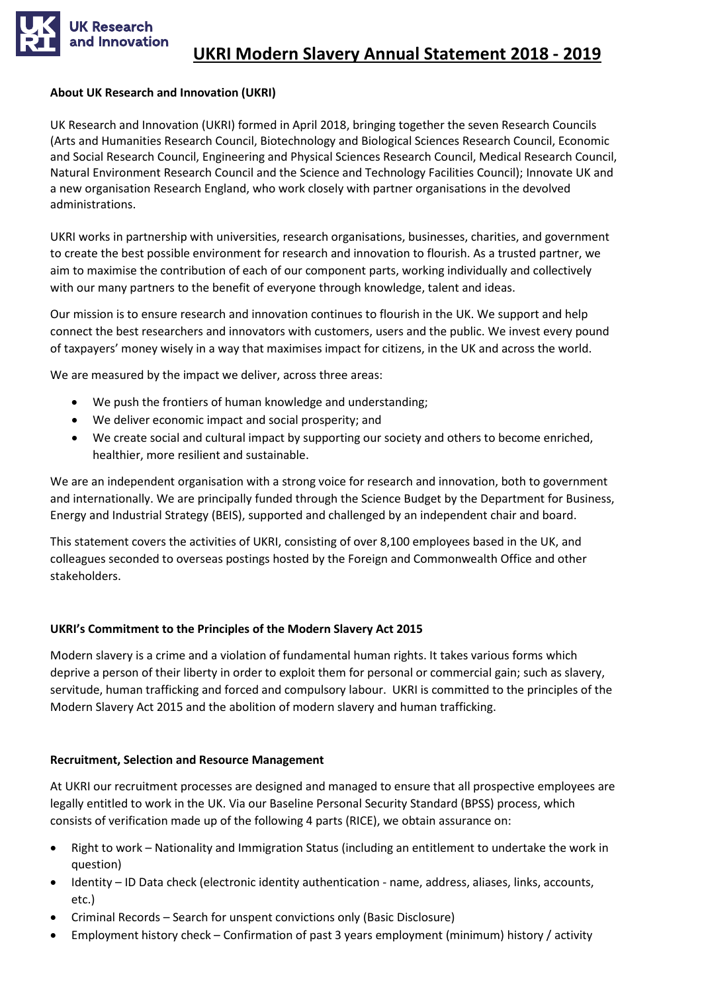

# **About UK Research and Innovation (UKRI)**

UK Research and Innovation (UKRI) formed in April 2018, bringing together the seven Research Councils [\(Arts and Humanities Research Council,](https://en.wikipedia.org/wiki/Arts_and_Humanities_Research_Council) [Biotechnology and Biological Sciences Research Council,](https://en.wikipedia.org/wiki/Biotechnology_and_Biological_Sciences_Research_Council) [Economic](https://en.wikipedia.org/wiki/Economic_and_Social_Research_Council)  [and Social Research Council,](https://en.wikipedia.org/wiki/Economic_and_Social_Research_Council) [Engineering and Physical Sciences Research Council,](https://en.wikipedia.org/wiki/Engineering_and_Physical_Sciences_Research_Council) [Medical Research Council,](https://en.wikipedia.org/wiki/Medical_Research_Council_(United_Kingdom)) Natural [Environment Research Council](https://en.wikipedia.org/wiki/Natural_Environment_Research_Council) and the [Science and Technology Facilities Council\)](https://en.wikipedia.org/wiki/Science_and_Technology_Facilities_Council); Innovate UK and a new organisation Research England, who work closely with partner organisations in the devolved administrations.

UKRI works in partnership with universities, research organisations, businesses, charities, and government to create the best possible environment for research and innovation to flourish. As a trusted partner, we aim to maximise the contribution of each of our component parts, working individually and collectively with our many partners to the benefit of everyone through knowledge, talent and ideas.

Our mission is to ensure research and innovation continues to flourish in the UK. We support and help connect the best researchers and innovators with customers, users and the public. We invest every pound of taxpayers' money wisely in a way that maximises impact for citizens, in the UK and across the world.

We are measured by the impact we deliver, across three areas:

- We push the frontiers of human knowledge and understanding;
- We deliver economic impact and social prosperity; and
- We create social and cultural impact by supporting our society and others to become enriched, healthier, more resilient and sustainable.

We are an independent organisation with a strong voice for research and innovation, both to government and internationally. We are principally funded through the Science Budget by the Department for Business, Energy and Industrial Strategy (BEIS), supported and challenged by an independent chair and board.

This statement covers the activities of UKRI, consisting of over 8,100 employees based in the UK, and colleagues seconded to overseas postings hosted by the Foreign and Commonwealth Office and other stakeholders.

### **UKRI's Commitment to the Principles of the Modern Slavery Act 2015**

Modern slavery is a crime and a violation of fundamental human rights. It takes various forms which deprive a person of their liberty in order to exploit them for personal or commercial gain; such as slavery, servitude, human trafficking and forced and compulsory labour. UKRI is committed to the principles of the Modern Slavery Act 2015 and the abolition of modern slavery and human trafficking.

# **Recruitment, Selection and Resource Management**

At UKRI our recruitment processes are designed and managed to ensure that all prospective employees are legally entitled to work in the UK. Via our Baseline Personal Security Standard (BPSS) process, which consists of verification made up of the following 4 parts (RICE), we obtain assurance on:

- Right to work Nationality and Immigration Status (including an entitlement to undertake the work in question)
- Identity ID Data check (electronic identity authentication name, address, aliases, links, accounts, etc.)
- Criminal Records Search for unspent convictions only (Basic Disclosure)
- Employment history check Confirmation of past 3 years employment (minimum) history / activity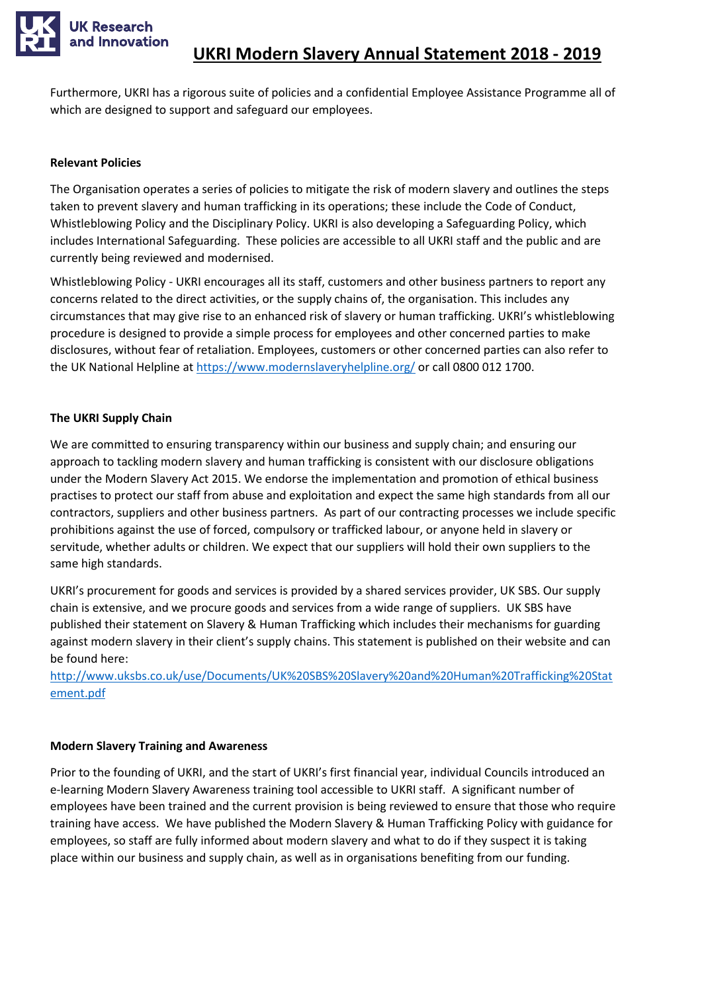

Furthermore, UKRI has a rigorous suite of policies and a confidential Employee Assistance Programme all of which are designed to support and safeguard our employees.

#### **Relevant Policies**

The Organisation operates a series of policies to mitigate the risk of modern slavery and outlines the steps taken to prevent slavery and human trafficking in its operations; these include the Code of Conduct, Whistleblowing Policy and the Disciplinary Policy. UKRI is also developing a Safeguarding Policy, which includes International Safeguarding. These policies are accessible to all UKRI staff and the public and are currently being reviewed and modernised.

Whistleblowing Policy - UKRI encourages all its staff, customers and other business partners to report any concerns related to the direct activities, or the supply chains of, the organisation. This includes any circumstances that may give rise to an enhanced risk of slavery or human trafficking. UKRI's whistleblowing procedure is designed to provide a simple process for employees and other concerned parties to make disclosures, without fear of retaliation. Employees, customers or other concerned parties can also refer to the UK National Helpline a[t https://www.modernslaveryhelpline.org/](https://www.modernslaveryhelpline.org/) or call 0800 012 1700.

### **The UKRI Supply Chain**

We are committed to ensuring transparency within our business and supply chain; and ensuring our approach to tackling modern slavery and human trafficking is consistent with our disclosure obligations under the Modern Slavery Act 2015. We endorse the implementation and promotion of ethical business practises to protect our staff from abuse and exploitation and expect the same high standards from all our contractors, suppliers and other business partners. As part of our contracting processes we include specific prohibitions against the use of forced, compulsory or trafficked labour, or anyone held in slavery or servitude, whether adults or children. We expect that our suppliers will hold their own suppliers to the same high standards.

UKRI's procurement for goods and services is provided by a shared services provider, UK SBS. Our supply chain is extensive, and we procure goods and services from a wide range of suppliers. UK SBS have published their statement on Slavery & Human Trafficking which includes their mechanisms for guarding against modern slavery in their client's supply chains. This statement is published on their website and can be found here:

[http://www.uksbs.co.uk/use/Documents/UK%20SBS%20Slavery%20and%20Human%20Trafficking%20Stat](http://www.uksbs.co.uk/use/Documents/UK%20SBS%20Slavery%20and%20Human%20Trafficking%20Statement.pdf) [ement.pdf](http://www.uksbs.co.uk/use/Documents/UK%20SBS%20Slavery%20and%20Human%20Trafficking%20Statement.pdf)

### **Modern Slavery Training and Awareness**

Prior to the founding of UKRI, and the start of UKRI's first financial year, individual Councils introduced an e-learning Modern Slavery Awareness training tool accessible to UKRI staff. A significant number of employees have been trained and the current provision is being reviewed to ensure that those who require training have access. We have published the Modern Slavery & Human Trafficking Policy with guidance for employees, so staff are fully informed about modern slavery and what to do if they suspect it is taking place within our business and supply chain, as well as in organisations benefiting from our funding.